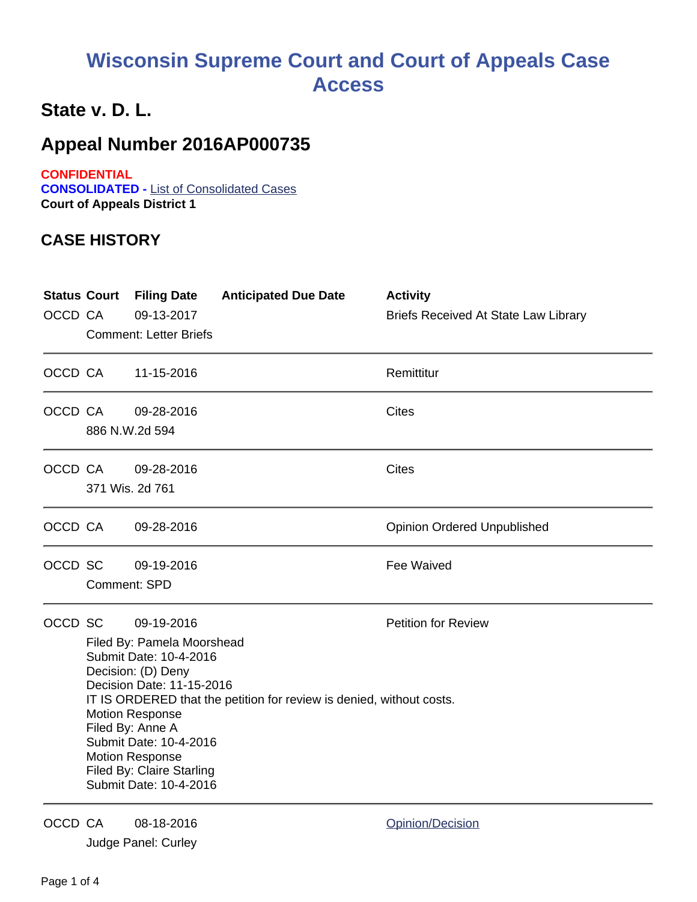## **Wisconsin Supreme Court and Court of Appeals Case Access**

## **State v. D. L.**

## **Appeal Number 2016AP000735**

**CONFIDENTIAL CONSOLIDATED -** List of Consolidated Cases **Court of Appeals District 1**

## **CASE HISTORY**

| <b>Status Court</b><br>OCCD CA |                                                                                                                                                                                                                                                                                                                                                        | <b>Filing Date</b><br>09-13-2017<br><b>Comment: Letter Briefs</b> | <b>Anticipated Due Date</b> | <b>Activity</b><br><b>Briefs Received At State Law Library</b> |
|--------------------------------|--------------------------------------------------------------------------------------------------------------------------------------------------------------------------------------------------------------------------------------------------------------------------------------------------------------------------------------------------------|-------------------------------------------------------------------|-----------------------------|----------------------------------------------------------------|
| OCCD CA                        |                                                                                                                                                                                                                                                                                                                                                        | 11-15-2016                                                        |                             | Remittitur                                                     |
| OCCD CA                        |                                                                                                                                                                                                                                                                                                                                                        | 09-28-2016<br>886 N.W.2d 594                                      |                             | <b>Cites</b>                                                   |
| OCCD CA                        |                                                                                                                                                                                                                                                                                                                                                        | 09-28-2016<br>371 Wis. 2d 761                                     |                             | <b>Cites</b>                                                   |
| OCCD CA                        |                                                                                                                                                                                                                                                                                                                                                        | 09-28-2016                                                        |                             | <b>Opinion Ordered Unpublished</b>                             |
| OCCD SC                        | Comment: SPD                                                                                                                                                                                                                                                                                                                                           | 09-19-2016                                                        |                             | <b>Fee Waived</b>                                              |
| OCCD SC                        | 09-19-2016<br>Filed By: Pamela Moorshead<br>Submit Date: 10-4-2016<br>Decision: (D) Deny<br>Decision Date: 11-15-2016<br>IT IS ORDERED that the petition for review is denied, without costs.<br><b>Motion Response</b><br>Filed By: Anne A<br>Submit Date: 10-4-2016<br><b>Motion Response</b><br>Filed By: Claire Starling<br>Submit Date: 10-4-2016 |                                                                   |                             | <b>Petition for Review</b>                                     |
| OCCD CA                        |                                                                                                                                                                                                                                                                                                                                                        | 08-18-2016<br>Judge Panel: Curley                                 |                             | Opinion/Decision                                               |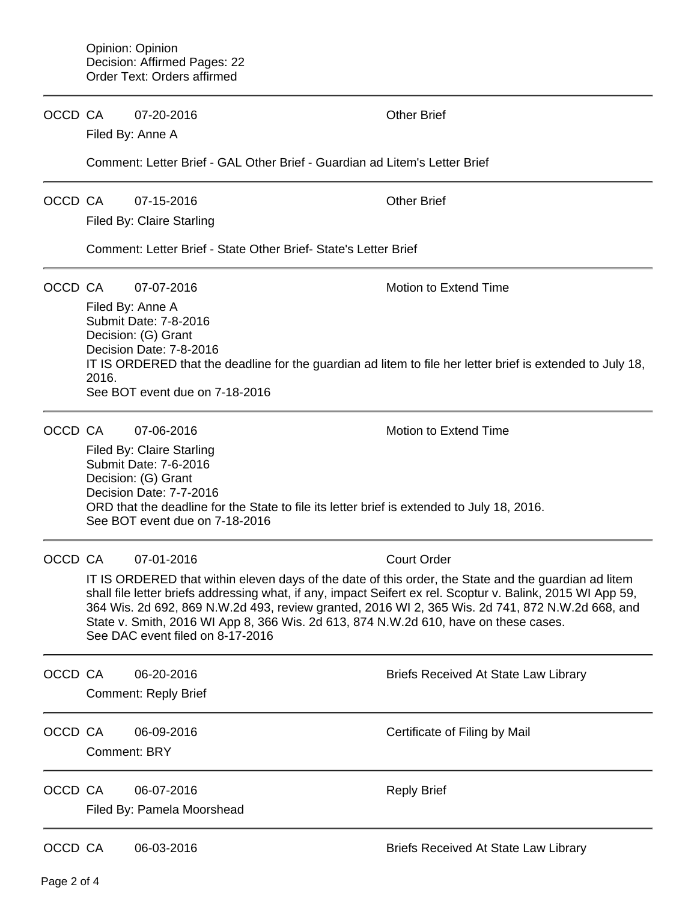OCCD CA 07-20-2016 Other Brief

Filed By: Anne A

Comment: Letter Brief - GAL Other Brief - Guardian ad Litem's Letter Brief

OCCD CA 07-15-2016 Other Brief

Filed By: Claire Starling

Comment: Letter Brief - State Other Brief- State's Letter Brief

OCCD CA 07-07-2016 Motion to Extend Time

Filed By: Anne A Submit Date: 7-8-2016 Decision: (G) Grant Decision Date: 7-8-2016 IT IS ORDERED that the deadline for the guardian ad litem to file her letter brief is extended to July 18, 2016. See BOT event due on 7-18-2016

OCCD CA 07-06-2016 Motion to Extend Time Filed By: Claire Starling Submit Date: 7-6-2016 Decision: (G) Grant Decision Date: 7-7-2016 ORD that the deadline for the State to file its letter brief is extended to July 18, 2016. See BOT event due on 7-18-2016

OCCD CA 07-01-2016 Court Order

IT IS ORDERED that within eleven days of the date of this order, the State and the guardian ad litem shall file letter briefs addressing what, if any, impact Seifert ex rel. Scoptur v. Balink, 2015 WI App 59, 364 Wis. 2d 692, 869 N.W.2d 493, review granted, 2016 WI 2, 365 Wis. 2d 741, 872 N.W.2d 668, and State v. Smith, 2016 WI App 8, 366 Wis. 2d 613, 874 N.W.2d 610, have on these cases. See DAC event filed on 8-17-2016

| OCCD CA |                     | 06-20-2016<br><b>Comment: Reply Brief</b> | Briefs Received At State Law Library |
|---------|---------------------|-------------------------------------------|--------------------------------------|
| OCCD CA | <b>Comment: BRY</b> | 06-09-2016                                | Certificate of Filing by Mail        |
| OCCD CA |                     | 06-07-2016<br>Filed By: Pamela Moorshead  | <b>Reply Brief</b>                   |

OCCD CA 06-03-2016 **Briefs Received At State Law Library**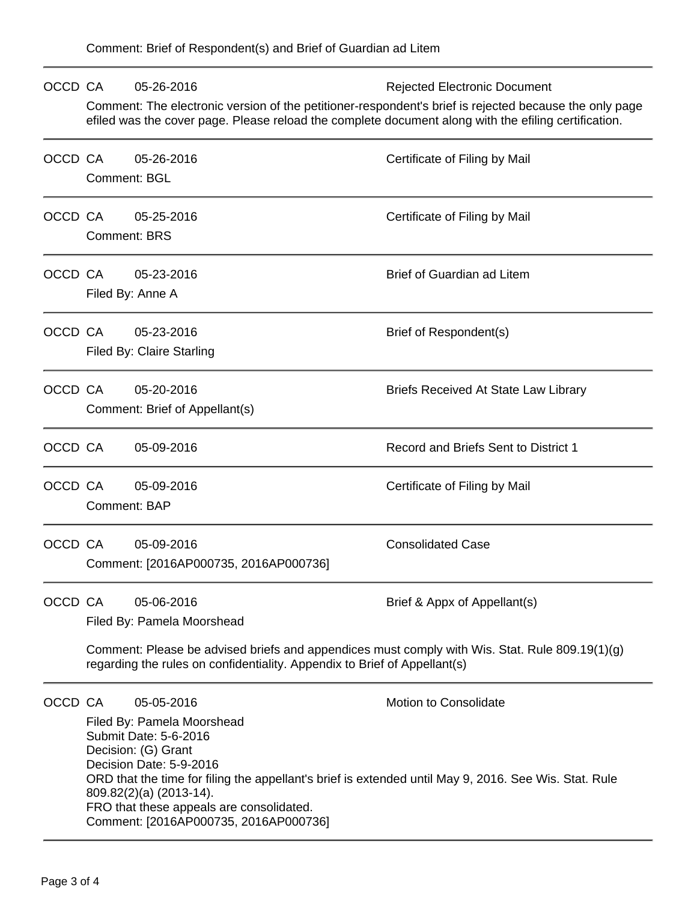| OCCD CA |                                                                                                                                                                                                                | 05-26-2016                                          | <b>Rejected Electronic Document</b>         |  |  |  |  |
|---------|----------------------------------------------------------------------------------------------------------------------------------------------------------------------------------------------------------------|-----------------------------------------------------|---------------------------------------------|--|--|--|--|
|         | Comment: The electronic version of the petitioner-respondent's brief is rejected because the only page<br>efiled was the cover page. Please reload the complete document along with the efiling certification. |                                                     |                                             |  |  |  |  |
| OCCD CA |                                                                                                                                                                                                                | 05-26-2016                                          | Certificate of Filing by Mail               |  |  |  |  |
|         | <b>Comment: BGL</b>                                                                                                                                                                                            |                                                     |                                             |  |  |  |  |
| OCCD CA |                                                                                                                                                                                                                | 05-25-2016                                          | Certificate of Filing by Mail               |  |  |  |  |
|         |                                                                                                                                                                                                                | <b>Comment: BRS</b>                                 |                                             |  |  |  |  |
| OCCD CA |                                                                                                                                                                                                                | 05-23-2016                                          | <b>Brief of Guardian ad Litem</b>           |  |  |  |  |
|         |                                                                                                                                                                                                                | Filed By: Anne A                                    |                                             |  |  |  |  |
| OCCD CA |                                                                                                                                                                                                                | 05-23-2016                                          | Brief of Respondent(s)                      |  |  |  |  |
|         |                                                                                                                                                                                                                | Filed By: Claire Starling                           |                                             |  |  |  |  |
| OCCD CA |                                                                                                                                                                                                                | 05-20-2016                                          | <b>Briefs Received At State Law Library</b> |  |  |  |  |
|         |                                                                                                                                                                                                                | Comment: Brief of Appellant(s)                      |                                             |  |  |  |  |
| OCCD CA |                                                                                                                                                                                                                | 05-09-2016                                          | Record and Briefs Sent to District 1        |  |  |  |  |
| OCCD CA |                                                                                                                                                                                                                | 05-09-2016                                          | Certificate of Filing by Mail               |  |  |  |  |
|         | <b>Comment: BAP</b>                                                                                                                                                                                            |                                                     |                                             |  |  |  |  |
| OCCD CA |                                                                                                                                                                                                                | 05-09-2016                                          | <b>Consolidated Case</b>                    |  |  |  |  |
|         |                                                                                                                                                                                                                | Comment: [2016AP000735, 2016AP000736]               |                                             |  |  |  |  |
| OCCD CA |                                                                                                                                                                                                                | 05-06-2016                                          | Brief & Appx of Appellant(s)                |  |  |  |  |
|         | Filed By: Pamela Moorshead                                                                                                                                                                                     |                                                     |                                             |  |  |  |  |
|         | Comment: Please be advised briefs and appendices must comply with Wis. Stat. Rule 809.19(1)(g)<br>regarding the rules on confidentiality. Appendix to Brief of Appellant(s)                                    |                                                     |                                             |  |  |  |  |
| OCCD CA |                                                                                                                                                                                                                | 05-05-2016                                          | <b>Motion to Consolidate</b>                |  |  |  |  |
|         |                                                                                                                                                                                                                | Filed By: Pamela Moorshead<br>Submit Date: 5-6-2016 |                                             |  |  |  |  |
|         | Decision: (G) Grant                                                                                                                                                                                            |                                                     |                                             |  |  |  |  |
|         | Decision Date: 5-9-2016<br>ORD that the time for filing the appellant's brief is extended until May 9, 2016. See Wis. Stat. Rule                                                                               |                                                     |                                             |  |  |  |  |
|         | 809.82(2)(a) (2013-14).                                                                                                                                                                                        |                                                     |                                             |  |  |  |  |
|         | FRO that these appeals are consolidated.<br>Comment: [2016AP000735, 2016AP000736]                                                                                                                              |                                                     |                                             |  |  |  |  |
|         |                                                                                                                                                                                                                |                                                     |                                             |  |  |  |  |